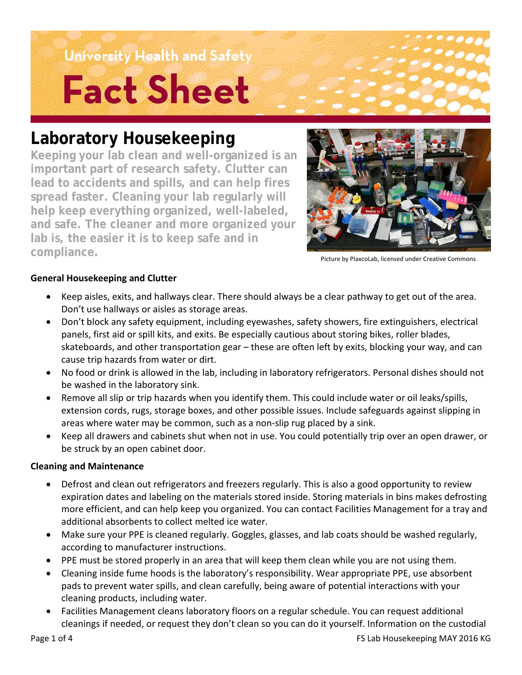# University Health and Safety **Fact Sheet**

### **Laboratory Housekeeping**

**Keeping your lab clean and well-organized is an important part of research safety. Clutter can lead to accidents and spills, and can help fires spread faster. Cleaning your lab regularly will help keep everything organized, well-labeled, and safe. The cleaner and more organized your lab is, the easier it is to keep safe and in compliance.**



Picture by PlaxcoLab, licensed under Creative Commons

### **General Housekeeping and Clutter**

- Keep aisles, exits, and hallways clear. There should always be a clear pathway to get out of the area. Don't use hallways or aisles as storage areas.
- Don't block any safety equipment, including eyewashes, safety showers, fire extinguishers, electrical panels, first aid or spill kits, and exits. Be especially cautious about storing bikes, roller blades, skateboards, and other transportation gear – these are often left by exits, blocking your way, and can cause trip hazards from water or dirt.
- No food or drink is allowed in the lab, including in laboratory refrigerators. Personal dishes should not be washed in the laboratory sink.
- Remove all slip or trip hazards when you identify them. This could include water or oil leaks/spills, extension cords, rugs, storage boxes, and other possible issues. Include safeguards against slipping in areas where water may be common, such as a non-slip rug placed by a sink.
- Keep all drawers and cabinets shut when not in use. You could potentially trip over an open drawer, or be struck by an open cabinet door.

### **Cleaning and Maintenance**

- Defrost and clean out refrigerators and freezers regularly. This is also a good opportunity to review expiration dates and labeling on the materials stored inside. Storing materials in bins makes defrosting more efficient, and can help keep you organized. You can contact Facilities Management for a tray and additional absorbents to collect melted ice water.
- Make sure your PPE is cleaned regularly. Goggles, glasses, and lab coats should be washed regularly, according to manufacturer instructions.
- PPE must be stored properly in an area that will keep them clean while you are not using them.
- Cleaning inside fume hoods is the laboratory's responsibility. Wear appropriate PPE, use absorbent pads to prevent water spills, and clean carefully, being aware of potential interactions with your cleaning products, including water.
- Facilities Management cleans laboratory floors on a regular schedule. You can request additional cleanings if needed, or request they don't clean so you can do it yourself. Information on the custodial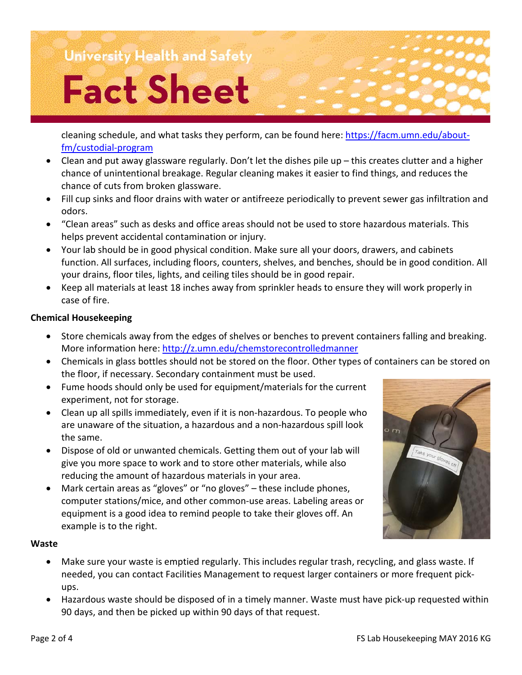### University Health and Safety

# **Fact Sheet**

cleaning schedule, and what tasks they perform, can be found here: [https://facm.umn.edu/about](https://facm.umn.edu/about-fm/custodial-program)[fm/custodial-program](https://facm.umn.edu/about-fm/custodial-program)

- Clean and put away glassware regularly. Don't let the dishes pile up this creates clutter and a higher chance of unintentional breakage. Regular cleaning makes it easier to find things, and reduces the chance of cuts from broken glassware.
- Fill cup sinks and floor drains with water or antifreeze periodically to prevent sewer gas infiltration and odors.
- "Clean areas" such as desks and office areas should not be used to store hazardous materials. This helps prevent accidental contamination or injury.
- Your lab should be in good physical condition. Make sure all your doors, drawers, and cabinets function. All surfaces, including floors, counters, shelves, and benches, should be in good condition. All your drains, floor tiles, lights, and ceiling tiles should be in good repair.
- Keep all materials at least 18 inches away from sprinkler heads to ensure they will work properly in case of fire.

### **Chemical Housekeeping**

- Store chemicals away from the edges of shelves or benches to prevent containers falling and breaking. More information here:<http://z.umn.edu/chemstorecontrolledmanner>
- Chemicals in glass bottles should not be stored on the floor. Other types of containers can be stored on the floor, if necessary. Secondary containment must be used.
- Fume hoods should only be used for equipment/materials for the current experiment, not for storage.
- Clean up all spills immediately, even if it is non-hazardous. To people who are unaware of the situation, a hazardous and a non-hazardous spill look the same.
- Dispose of old or unwanted chemicals. Getting them out of your lab will give you more space to work and to store other materials, while also reducing the amount of hazardous materials in your area.
- Mark certain areas as "gloves" or "no gloves" these include phones, computer stations/mice, and other common-use areas. Labeling areas or equipment is a good idea to remind people to take their gloves off. An example is to the right.

### **Waste**

- Make sure your waste is emptied regularly. This includes regular trash, recycling, and glass waste. If needed, you can contact Facilities Management to request larger containers or more frequent pickups.
- Hazardous waste should be disposed of in a timely manner. Waste must have pick-up requested within 90 days, and then be picked up within 90 days of that request.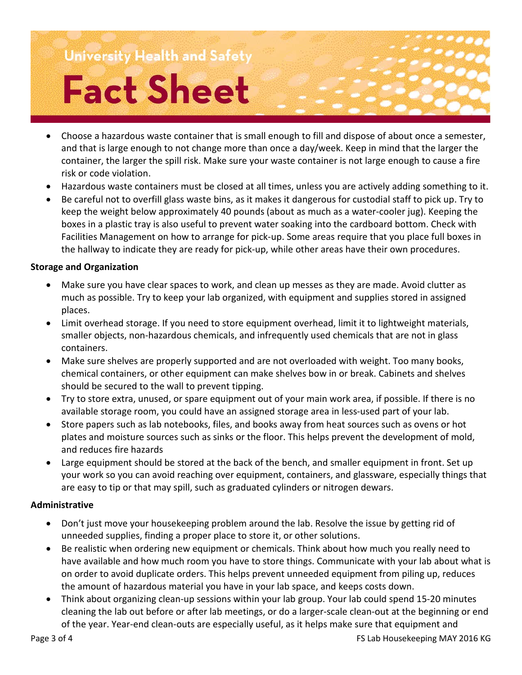## University Health and Safety **Fact Sheet**

### • Choose a hazardous waste container that is small enough to fill and dispose of about once a semester, and that is large enough to not change more than once a day/week. Keep in mind that the larger the container, the larger the spill risk. Make sure your waste container is not large enough to cause a fire risk or code violation.

- Hazardous waste containers must be closed at all times, unless you are actively adding something to it.
- Be careful not to overfill glass waste bins, as it makes it dangerous for custodial staff to pick up. Try to keep the weight below approximately 40 pounds (about as much as a water-cooler jug). Keeping the boxes in a plastic tray is also useful to prevent water soaking into the cardboard bottom. Check with Facilities Management on how to arrange for pick-up. Some areas require that you place full boxes in the hallway to indicate they are ready for pick-up, while other areas have their own procedures.

### **Storage and Organization**

- Make sure you have clear spaces to work, and clean up messes as they are made. Avoid clutter as much as possible. Try to keep your lab organized, with equipment and supplies stored in assigned places.
- Limit overhead storage. If you need to store equipment overhead, limit it to lightweight materials, smaller objects, non-hazardous chemicals, and infrequently used chemicals that are not in glass containers.
- Make sure shelves are properly supported and are not overloaded with weight. Too many books, chemical containers, or other equipment can make shelves bow in or break. Cabinets and shelves should be secured to the wall to prevent tipping.
- Try to store extra, unused, or spare equipment out of your main work area, if possible. If there is no available storage room, you could have an assigned storage area in less-used part of your lab.
- Store papers such as lab notebooks, files, and books away from heat sources such as ovens or hot plates and moisture sources such as sinks or the floor. This helps prevent the development of mold, and reduces fire hazards
- Large equipment should be stored at the back of the bench, and smaller equipment in front. Set up your work so you can avoid reaching over equipment, containers, and glassware, especially things that are easy to tip or that may spill, such as graduated cylinders or nitrogen dewars.

#### **Administrative**

- Don't just move your housekeeping problem around the lab. Resolve the issue by getting rid of unneeded supplies, finding a proper place to store it, or other solutions.
- Be realistic when ordering new equipment or chemicals. Think about how much you really need to have available and how much room you have to store things. Communicate with your lab about what is on order to avoid duplicate orders. This helps prevent unneeded equipment from piling up, reduces the amount of hazardous material you have in your lab space, and keeps costs down.
- Think about organizing clean-up sessions within your lab group. Your lab could spend 15-20 minutes cleaning the lab out before or after lab meetings, or do a larger-scale clean-out at the beginning or end of the year. Year-end clean-outs are especially useful, as it helps make sure that equipment and